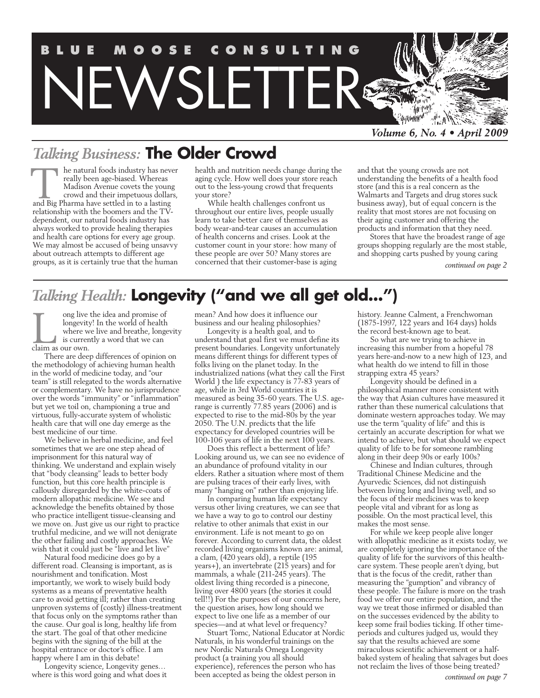

# *Talking Business:* **The Older Crowd**

he natural foods industry has never really been age-biased. Whereas Madison Avenue covets the young crowd and their impetuous dollars, and Big Pharma have settled in to a lasting Pharma have settled in to a lasting Pharma have settled in to a lasting relationship with the boomers and the TVdependent, our natural foods industry has always worked to provide healing therapies and health care options for every age group. We may almost be accused of being unsavvy about outreach attempts to different age groups, as it is certainly true that the human health and nutrition needs change during the aging cycle. How well does your store reach out to the less-young crowd that frequents your store?

While health challenges confront us throughout our entire lives, people usually learn to take better care of themselves as body wear-and-tear causes an accumulation of health concerns and crises. Look at the customer count in your store: how many of these people are over 50? Many stores are concerned that their customer-base is aging

and that the young crowds are not understanding the benefits of a health food store (and this is a real concern as the Walmarts and Targets and drug stores suck business away), but of equal concern is the reality that most stores are not focusing on their aging customer and offering the products and information that they need.

Stores that have the broadest range of age groups shopping regularly are the most stable, and shopping carts pushed by young caring

*continued on page 2*

# *Talking Health:* **Longevity ("and we all get old...")**

ong live the idea and promise of longevity! In the world of health where we live and breathe, longevity is currently a word that we can ong live<br>longevity<br>where w<br>is currer<br>claim as our own.

There are deep differences of opinion on the methodology of achieving human health in the world of medicine today, and "our team" is still relegated to the words alternative or complementary. We have no jurisprudence over the words "immunity" or "inflammation" but yet we toil on, championing a true and virtuous, fully-accurate system of wholistic health care that will one day emerge as the best medicine of our time.

We believe in herbal medicine, and feel sometimes that we are one step ahead of imprisonment for this natural way of thinking. We understand and explain wisely that "body cleansing" leads to better body function, but this core health principle is callously disregarded by the white-coats of modern allopathic medicine. We see and acknowledge the benefits obtained by those who practice intelligent tissue-cleansing and we move on. Just give us our right to practice truthful medicine, and we will not denigrate the other failing and costly approaches. We wish that it could just be "live and let live"

Natural food medicine does go by a different road. Cleansing is important, as is nourishment and tonification. Most importantly, we work to wisely build body systems as a means of preventative health care to avoid getting ill; rather than creating unproven systems of (costly) illness-treatment that focus only on the symptoms rather than the cause. Our goal is long, healthy life from the start. The goal of that other medicine begins with the signing of the bill at the hospital entrance or doctor's office. I am happy where I am in this debate!

Longevity science, Longevity genes… where is this word going and what does it mean? And how does it influence our business and our healing philosophies?

Longevity is a health goal, and to understand that goal first we must define its present boundaries. Longevity unfortunately means different things for different types of folks living on the planet today. In the industrialized nations (what they call the First World ) the life expectancy is 77-83 years of age, while in 3rd World countries it is measured as being 35-60 years. The U.S. agerange is currently 77.85 years (2006) and is expected to rise to the mid-80s by the year 2050. The U.N. predicts that the life expectancy for developed countries will be 100-106 years of life in the next 100 years.

Does this reflect a betterment of life? Looking around us, we can see no evidence of an abundance of profound vitality in our elders. Rather a situation where most of them are pulsing traces of their early lives, with many "hanging on" rather than enjoying life.

In comparing human life expectancy versus other living creatures, we can see that we have a way to go to control our destiny relative to other animals that exist in our environment. Life is not meant to go on forever. According to current data, the oldest recorded living organisms known are: animal, a clam, (420 years old), a reptile (195 years+), an invertebrate (215 years) and for mammals, a whale (211-245 years). The oldest living thing recorded is a pinecone, living over 4800 years (the stories it could tell!!) For the purposes of our concerns here, the question arises, how long should we expect to live one life as a member of our species—and at what level or frequency?

Stuart Tomc, National Educator at Nordic Naturals, in his wonderful trainings on the new Nordic Naturals Omega Longevity product (a training you all should experience), references the person who has been accepted as being the oldest person in

history. Jeanne Calment, a Frenchwoman (1875-1997, 122 years and 164 days) holds the record best-known age to beat.

So what are we trying to achieve in increasing this number from a hopeful 78 years here-and-now to a new high of 123, and what health do we intend to fill in those strapping extra 45 years?

Longevity should be defined in a philosophical manner more consistent with the way that Asian cultures have measured it rather than these numerical calculations that dominate western approaches today. We may use the term "quality of life" and this is certainly an accurate description for what we intend to achieve, but what should we expect quality of life to be for someone rambling along in their deep 90s or early 100s?

Chinese and Indian cultures, through Traditional Chinese Medicine and the Ayurvedic Sciences, did not distinguish between living long and living well, and so the focus of their medicines was to keep people vital and vibrant for as long as possible. On the most practical level, this makes the most sense.

For while we keep people alive longer with allopathic medicine as it exists today, we are completely ignoring the importance of the quality of life for the survivors of this healthcare system. These people aren't dying, but that is the focus of the credit, rather than measuring the "gumption" and vibrancy of these people. The failure is more on the trash food we offer our entire population, and the way we treat those infirmed or disabled than on the successes evidenced by the ability to keep some frail bodies ticking. If other timeperiods and cultures judged us, would they say that the results achieved are some miraculous scientific achievement or a halfbaked system of healing that salvages but does not reclaim the lives of those being treated?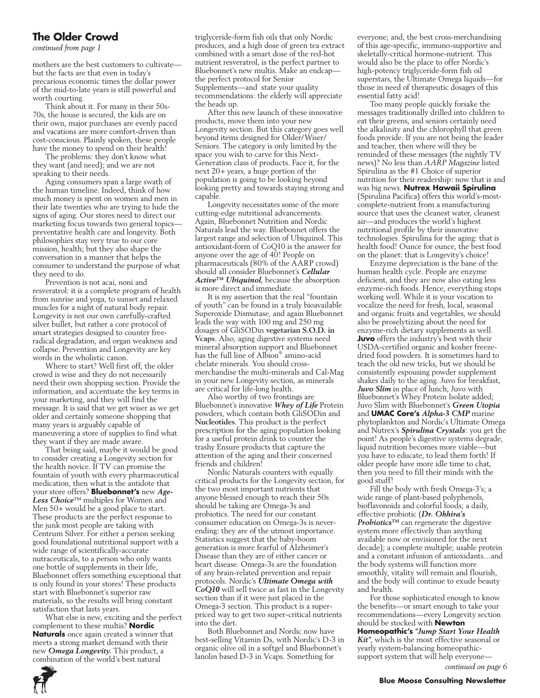## **The Older Crowd**

*continued from page 1*

mothers are the best customers to cultivate but the facts are that even in today's precarious economic times the dollar power of the mid-to-late years is still powerful and worth courting.

Think about it. For many in their 50s-70s, the house is secured, the kids are on their own, major purchases are evenly paced and vacations are more comfort-driven than cost-conscious. Plainly spoken, these people have the money to spend on their health!

The problems: they don't know what they want (and need); and we are not speaking to their needs.

Aging consumers span a large swath of the human timeline. Indeed, think of how much money is spent on women and men in their late twenties who are trying to hide the signs of aging. Our stores need to direct our marketing focus towards two general topics preventative health care and longevity. Both philosophies stay very true to our core mission, health; but they also shape the conversation in a manner that helps the consumer to understand the purpose of what they need to do.

Prevention is not acai, noni and resveratrol: it is a complete program of health from sunrise and yoga, to sunset and relaxed muscles for a night of natural body repair. Longevity is not our own carefully-crafted silver bullet, but rather a core protocol of smart strategies designed to counter freeradical degradation, and organ weakness and collapse. Prevention and Longevity are key words in the wholistic canon.

Where to start? Well first off, the older crowd is wise and they do not necessarily need their own shopping section. Provide the information, and accentuate the key terms in your marketing, and they will find the message. It is said that we get wiser as we get older and certainly someone shopping that many years is arguably capable of maneuvering a store of supplies to find what they want if they are made aware.

That being said, maybe it would be good to consider creating a Longevity section for the health novice. If TV can promise the fountain of youth with every pharmaceutical medication, then what is the antidote that your store offers? **Bluebonnet's** new *Age-Less Choice*™ multiples for Women and Men 50+ would be a good place to start. These products are the perfect response to the junk most people are taking with Centrum Silver. For either a person seeking good foundational nutritional support with a wide range of scientifically-accurate nutraceuticals, to a person who only wants one bottle of supplements in their life, Bluebonnet offers something exceptional that is only found in your stores! These products start with Bluebonnet's superior raw materials, so the results will bring constant satisfaction that lasts years.

What else is new, exciting and the perfect complement to these multis? **Nordic Naturals** once again created a winner that meets a strong market demand with their new *Omega Longevity*. This product, a combination of the world's best natural

triglyceride-form fish oils that only Nordic produces, and a high dose of green tea extract combined with a smart dose of the red-hot nutrient resveratrol, is the perfect partner to Bluebonnet's new multis. Make an endcap the perfect protocol for Senior Supplements—and state your quality recommendations: the elderly will appreciate the heads up.

After this new launch of these innovative products, move them into your new Longevity section. But this category goes well beyond items designed for Older/Wiser/ Seniors. The category is only limited by the space you wish to carve for this Next-Generation class of products. Face it, for the next 20+ years, a huge portion of the population is going to be looking beyond looking pretty and towards staying strong and capable.

Longevity necessitates some of the more cutting-edge nutritional advancements. Again, Bluebonnet Nutrition and Nordic Naturals lead the way. Bluebonnet offers the largest range and selection of Ubiquinol. This antioxidant-form of CoQ10 is the answer for anyone over the age of 40! People on pharmaceuticals (80% of the AARP crowd) should all consider Bluebonnet's *Cellular Active™ Ubiquinol*, because the absorption is more direct and immediate.

It is my assertion that the real "fountain of youth" can be found in a truly bioavailable Superoxide Dismutase, and again Bluebonnet leads the way with 100 mg and 250 mg dosages of GliSODin **vegetarian S.O.D. in Vcaps**. Also, aging digestive systems need mineral absorption support and Bluebonnet has the full line of Albion® amino-acid chelate minerals. You should crossmerchandise the multi-minerals and Cal-Mag in your new Longevity section, as minerals are critical for life-long health.

Also worthy of two frontings are Bluebonnet's innovative *Whey of Life* Protein powders, which contain both GliSODin and **Nucleotides**. This product is the perfect prescription for the aging population looking for a useful protein drink to counter the trashy Ensure products that capture the attention of the aging and their concerned friends and children!

Nordic Naturals counters with equally critical products for the Longevity section, for the two most important nutrients that anyone blessed enough to reach their 50s should be taking are Omega-3s and probiotics. The need for our constant consumer education on Omega-3s is neverending: they are of the utmost importance. Statistics suggest that the baby-boom generation is more fearful of Alzheimer's Disease than they are of either cancer or heart disease. Omega-3s are the foundation of any brain-related prevention and repair protocols. Nordic's *Ultimate Omega with CoQ10* will sell twice as fast in the Longevity section than if it were just placed in the Omega-3 section. This product is a superpriced way to get two super-critical nutrients into the diet.

Both Bluebonnet and Nordic now have best-selling Vitamin Ds, with Nordic's D-3 in organic olive oil in a softgel and Bluebonnet's lanolin based D-3 in Vcaps. Something for

everyone; and, the best cross-merchandising of this age-specific, immuno-supportive and skeletally-critical hormone-nutrient. This would also be the place to offer Nordic's high-potency triglyceride-form fish oil superstars, the Ultimate Omega liquids—for those in need of therapeutic dosages of this essential fatty acid!

Too many people quickly forsake the messages traditionally drilled into children to eat their greens, and seniors certainly need the alkalinity and the chlorophyll that green foods provide. If you are not being the leader and teacher, then where will they be reminded of these messages (the nightly TV news)? No less than *AARP Magazine* listed Spirulina as the #1 Choice of superior nutrition for their readership: now that is and was big news. **Nutrex Hawaii Spirulina**  (Spirulina Pacifica) offers this world's-mostcomplete-nutrient from a manufacturing source that uses the cleanest water, cleanest air—and produces the world's highest nutritional profile by their innovative technologies. Spirulina for the aging: that is health food! Ounce for ounce, the best food on the planet: that is Longevity's choice!

Enzyme depreciation is the bane of the human health cycle. People are enzyme deficient, and they are now also eating less enzyme-rich foods. Hence, everything stops working well. While it is your vocation to vocalize the need for fresh, local, seasonal and organic fruits and vegetables, we should also be proselytizing about the need for enzyme-rich dietary supplements as well. **Juvo** offers the industry's best with their USDA-certified organic and kosher freezedried food powders. It is sometimes hard to teach the old new tricks, but we should be consistently espousing powder supplement shakes daily to the aging. Juvo for breakfast, *Juvo Slim* in place of lunch, Juvo with Bluebonnet's Whey Protein Isolate added; Juvo Slim with Bluebonnet's *Green Utopia* and **UMAC Core's** *Alpha-3 CMP* marine phytoplankton and Nordic's Ultimate Omega and Nutrex's *Spirulina Crystals*: you get the point! As people's digestive systems degrade, liquid nutrition becomes more viable—but you have to educate, to lead them forth! If older people have more idle time to chat, then you need to fill their minds with the good stuff!

Fill the body with fresh Omega-3's; a wide range of plant-based polyphenols, bioflavonoids and colorful foods; a daily, effective probiotic (*Dr. Ohhira's Probiotics™* can regenerate the digestive system more effectively than anything available now or envisioned for the next decade); a complete multiple; usable protein and a constant infusion of antioxidants…and the body systems will function more smoothly, vitality will remain and flourish, and the body will continue to exude beauty and health.

For those sophisticated enough to know the benefits—or smart enough to take your recommendations—every Longevity section should be stocked with **Newton** 

**Homeopathic's** *"Jump Start Your Health Kit"*, which is the most effective seasonal or yearly system-balancing homeopathicsupport system that will help everyone—

*continued on page 6*

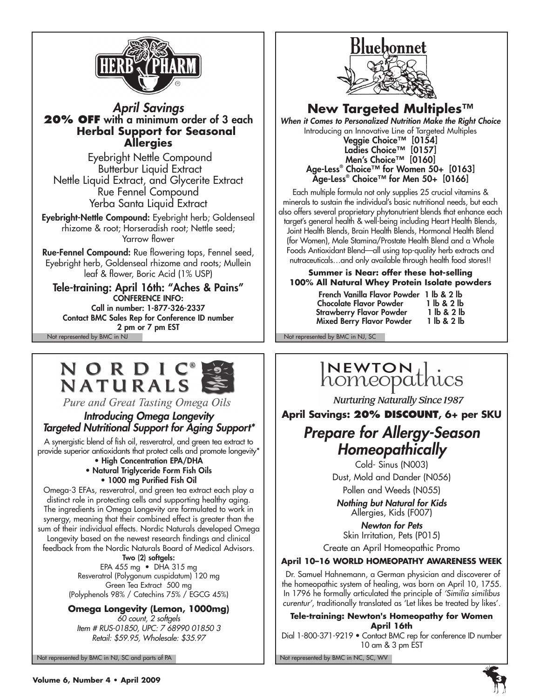

*April Savings* **20% off** with a minimum order of 3 each  **Herbal Support for Seasonal Allergies**

 Eyebright Nettle Compound Butterbur Liquid Extract Nettle Liquid Extract, and Glycerite Extract Rue Fennel Compound Yerba Santa Liquid Extract

Eyebright-Nettle Compound: Eyebright herb; Goldenseal rhizome & root; Horseradish root; Nettle seed; Yarrow flower

Rue-Fennel Compound: Rue flowering tops, Fennel seed, Eyebright herb, Goldenseal rhizome and roots; Mullein leaf & flower, Boric Acid (1% USP)

Not represented by BMC in NJ Not represented by BMC in NJ, SC Tele-training: April 16th: "Aches & Pains" CONFERENCE INFO: Call in number: 1-877-326-2337 Contact BMC Sales Rep for Conference ID number 2 pm or 7 pm EST

# NORDIC **NATURALS**

Pure and Great Tasting Omega Oils

# *Introducing Omega Longevity Targeted Nutritional Support for Aging Support\**

A synergistic blend of fish oil, resveratrol, and green tea extract to provide superior antioxidants that protect cells and promote longevity\*

# • High Concentration EPA/DHA

• Natural Triglyceride Form Fish Oils • 1000 mg Purified Fish Oil

Omega-3 EFAs, resveratrol, and green tea extract each play a distinct role in protecting cells and supporting healthy aging. The ingredients in Omega Longevity are formulated to work in synergy, meaning that their combined effect is greater than the sum of their individual effects. Nordic Naturals developed Omega

Longevity based on the newest research findings and clinical feedback from the Nordic Naturals Board of Medical Advisors.

Two (2) softgels:

EPA 455 mg • DHA 315 mg Resveratrol (Polygonum cuspidatum) 120 mg Green Tea Extract 500 mg (Polyphenols 98% / Catechins 75% / EGCG 45%)

**Omega Longevity (Lemon, 1000mg)**

*60 count, 2 softgels Item # RUS-01850, UPC: 7 68990 01850 3 Retail: \$59.95, Wholesale: \$35.97*

Not represented by BMC in NJ, SC and parts of PA Not represented by BMC in NC, SC, WV



# **New Targeted Multiples™**

*When it Comes to Personalized Nutrition Make the Right Choice* Introducing an Innovative Line of Targeted Multiples Veggie Choice™ [0154]

Ladies Choice™ [0157] Men's Choice™ [0160] Age-Less® Choice™ for Women 50+ [0163] Age-Less® Choice™ for Men 50+ [0166]

Each multiple formula not only supplies 25 crucial vitamins & minerals to sustain the individual's basic nutritional needs, but each also offers several proprietary phytonutrient blends that enhance each target's general health & well-being including Heart Health Blends, Joint Health Blends, Brain Health Blends, Hormonal Health Blend (for Women), Male Stamina/Prostate Health Blend and a Whole Foods Antioxidant Blend—all using top-quality herb extracts and nutraceuticals…and only available through health food stores!!

## **Summer is Near: offer these hot-selling 100% All Natural Whey Protein Isolate powders**

| French Vanilla Flavor Powder 1 lb & 2 lb |             |
|------------------------------------------|-------------|
| <b>Chocolate Flavor Powder</b>           | 1 lb & 2 lb |
| <b>Strawberry Flavor Powder</b>          | 1 lb & 2 lb |
| Mixed Berry Flavor Powder                | 1 lb & 2 lb |

# INEWTON Lics

**Nurturing Naturally Since 1987** 

**April Savings: 20% Discount, 6+ per SKU**

# *Prepare for Allergy-Season Homeopathically*

Cold- Sinus (N003) Dust, Mold and Dander (N056) Pollen and Weeds (N055)

*Nothing but Natural for Kids* Allergies, Kids (F007)

*Newton for Pets* Skin Irritation, Pets (P015)

Create an April Homeopathic Promo

# **April 10–16 World Homeopathy Awareness Week**

 Dr. Samuel Hahnemann, a German physician and discoverer of the homeopathic system of healing, was born on April 10, 1755. In 1796 he formally articulated the principle of *'Similia similibus curentur'*, traditionally translated as 'Let likes be treated by likes'.

**Tele-training: Newton's Homeopathy for Women April 16th**

Dial 1-800-371-9219 • Contact BMC rep for conference ID number 10 am & 3 pm EST

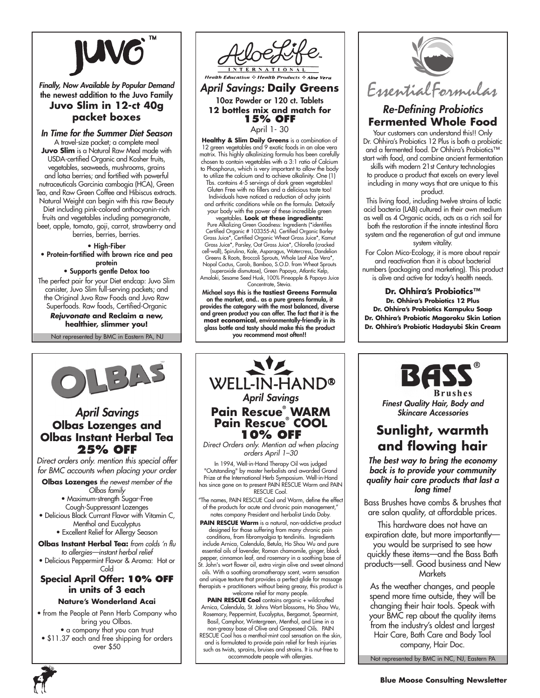

*Finally, Now Available by Popular Demand* the newest addition to the Juvo Family **Juvo Slim in 12-ct 40g packet boxes**

*In Time for the Summer Diet Season* A travel-size packet; a complete meal

**Juvo Slim** is a Natural Raw Meal made with USDA-certified Organic and Kosher fruits, vegetables, seaweeds, mushrooms, grains and lotsa berries; and fortified with powerful nutraceuticals Garcinia cambogia (HCA), Green Tea, and Raw Green Coffee and Hibiscus extracts. Natural Weight can begin with this raw Beauty Diet including pink-colored anthocyanin-rich fruits and vegetables including pomegranate, beet, apple, tomato, goji, carrot, strawberry and berries, berries, berries.

• High-Fiber

• Protein-fortified with brown rice and pea protein

### • Supports gentle Detox too

The perfect pair for your Diet endcap: Juvo Slim canister, Juvo Slim full-serving packets; and the Original Juvo Raw Foods and Juvo Raw Superfoods. Raw foods, Certified-Organic

*Rejuvonate* **and Reclaim a new, healthier, slimmer you!**

Not represented by BMC in Eastern PA, NJ

 $\frac{1}{2}$ 

*April Savings* **Olbas Lozenges and Olbas Instant Herbal Tea 25% off** *Direct orders only. mention this special offer for BMC accounts when placing your order* **Olbas Lozenges** *the newest member of the Olbas family* • Maximum-strength Sugar-Free Cough-Suppressant Lozenges • Delicious Black Currant Flavor with Vitamin C, Menthol and Eucalyptus • Excellent Relief for Allergy Season **Olbas Instant Herbal Tea:** *from colds 'n flu to allergies—instant herbal relief* • Delicious Peppermint Flavor & Aroma: Hot or Cold **Special April Offer: 10% Off in units of 3 each Nature's Wonderland Acai** • from the People at Penn Herb Company who bring you Olbas. • a company that you can trust • \$11.37 each and free shipping for orders over \$50



**Health Education & Health Products** 

#### *April Savings:* **Daily Greens**  10oz Powder or 120 ct. Tablets **12 bottles mix and match for 15% off** April 1- 30

**Healthy & Slim Daily Greens** is a combination of 12 green vegetables and 9 exotic foods in an aloe vera matrix. This highly alkalinizing formula has been carefully chosen to contain vegetables with a 3:1 ratio of Calcium to Phosphorus, which is very important to allow the body to utilize the calcium and to achieve alkalinity. One (1) Tbs. contains 4-5 servings of dark green vegetables! Gluten Free with no fillers and a delicious taste too! Individuals have noticed a reduction of achy joints and arthritic conditions while on the formula. Detoxify your body with the power of these incredible green vegetables. **Look at these ingredients:**

Pure Alkalizing Green Goodness: Ingredients (\*identifies Certified Organic # 103355-A). Certified Organic Barley Grass Juice\*, Certified Organic Wheat Grass Juice\*, Kamut Grass Juice\*, Parsley, Oat Grass Juice\*, Chlorella (cracked cell-wall), Spirulina, Kale, Asparagus, Watercress, Dandelion Greens & Roots, Broccoli Sprouts, Whole Leaf Aloe Vera\*,

Nopal Cactus, Carob, Bamboo, S.O.D. from Wheat Sprouts (superoxide dismutase), Green Papaya, Atlantic Kelp, Amalaki, Sesame Seed Husk, 100% Pineapple & Papaya Juice Concentrate, Stevia.

Michael says this is the **tastiest Greens Formula** on the market, and.. as a pure greens formula, it provides the category with the most balanced, diverse and green product you can offer. The fact that it is the **most economical**, environmentally-friendly in its glass bottle and tasty should make this the product you recommend most often!!



# *Re-Defining Probiotics* **Fermented Whole Food**

Your customers can understand this!! Only Dr. Ohhira's Probiotics 12 Plus is both a probiotic and a fermented food. Dr Ohhira's Probiotics™ start with food, and combine ancient fermentation

skills with modern 21st Century technologies to produce a product that excels on every level including in many ways that are unique to this product.

 This living food, including twelve strains of lactic acid bacteria (LAB) cultured in their own medium as well as 4 Organic acids, acts as a rich soil for both the restoration if the innate intestinal flora system and the regeneration of gut and immune system vitality.

For Colon Mico-Ecology, it is more about repair and reactivation than it is about bacterial numbers (packaging and marketing). This product is alive and active for today's health needs.

**Dr. Ohhira's Probiotics™ Dr. Ohhira's Probiotics 12 Plus Dr. Ohhira's Probiotics Kampuku Soap Dr. Ohhira's Probiotic Magoroku Skin Lotion Dr. Ohhira's Probiotic Hadayubi Skin Cream**



**Brushes** *Finest Quality Hair, Body and Skincare Accessories*

# **Sunlight, warmth and flowing hair**

*The best way to bring the economy back is to provide your community quality hair care products that last a long time!*

Bass Brushes have combs & brushes that are salon quality, at affordable prices.

This hardware does not have an expiration date, but more importantly you would be surprised to see how quickly these items—and the Bass Bath products—sell. Good business and New **Markets** 

As the weather changes, and people spend more time outside, they will be changing their hair tools. Speak with your BMC rep about the quality items from the industry's oldest and largest Hair Care, Bath Care and Body Tool company, Hair Doc.

Not represented by BMC in NC, NJ, Eastern PA



# **10% off** *orders April 1–30* In 1994, Well-in-Hand Therapy Oil was judged RESCUE Cool. notes company President and herbalist Linda Doby.

PAIN RESCUE Warm is a natural, non-addictive product

conditions, from fibromyalgia tp tendinitis. Ingredients include Arnica, Calendula, Betula, Ho Shou Wu and pure essential oils of lavender, Roman chamomile, ginger, black pepper, cinnamon leaf, and rosemary in a soothing base of St. John's wort flower oil, extra virgin olive and sweet almond oils. With a soothing aromatherapy scent, warm sensation and unique texture that provides a perfect glide for massage therapists + practitioners without being greasy, this product is welcome relief for many people.

**PAIN RESCUE Cool** contains organic + wildcrafted Arnica, Calendula, St. Johns Wort blossoms, Ho Shou Wu, Rosemary, Peppermint, Eucalyptus, Bergamot, Spearmint,

non-greasy base of Olive and Grapeseed Oils. PAIN RESCUE Cool has a menthol-mint cool sensation on the skin, and is formulated to provide pain relief for fresh injuries such as twists, sprains, bruises and strains. It is nut-free to accommodate people with allergies.



"Outstanding" by master herbalists and awarded Grand Prize at the International Herb Symposium. Well-in-Hand has since gone on to present PAIN RESCUE Warm and PAIN

The names, PAIN RESCUE Cool and Warm, define the effect of the products for acute and chronic pain management,"

designed for those suffering from many chronic pain

Basil, Camphor, Wintergreen, Menthol, and Lime in a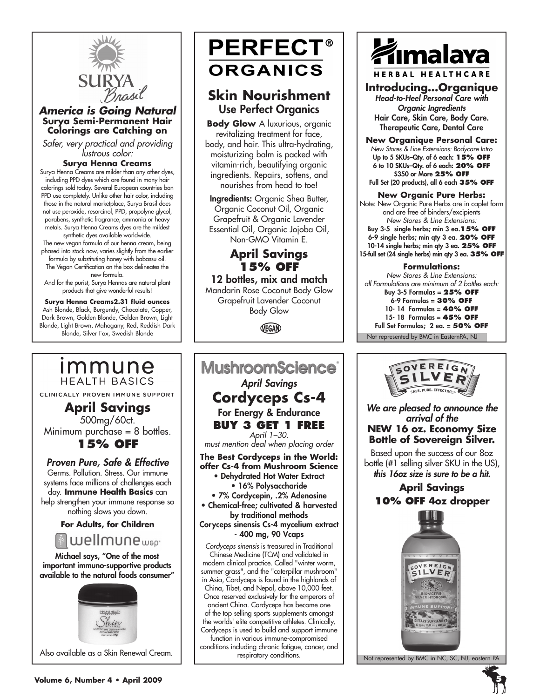

### *America is Going Natural* **Surya Semi-Permanent Hair Colorings are Catching on**

*Safer, very practical and providing lustrous color:*

#### **Surya Henna Creams**

Surya Henna Creams are milder than any other dyes, including PPD dyes which are found in many hair colorings sold today. Several European countries ban PPD use completely. Unlike other hair color, including those in the natural marketplace, Surya Brasil does not use peroxide, resorcinol, PPD, propolyne glycol, parabens, synthetic fragrance, ammonia or heavy metals. Surya Henna Creams dyes are the mildest synthetic dyes available worldwide.

The new vegan formula of our henna cream, being phased into stock now, varies slightly from the earlier formula by substituting honey with babassu oil.

The Vegan Certification on the box delineates the new formula.

And for the purist, Surya Hennas are natural plant products that give wonderful results!

**Surya Henna Creams2.31 fluid ounces** Ash Blonde, Black, Burgundy, Chocolate, Copper, Dark Brown, Golden Blonde, Golden Brown, Light Blonde, Light Brown, Mahogany, Red, Reddish Dark Blonde, Silver Fox, Swedish Blonde

**April Savings** 500mg/60ct. Minimum purchase = 8 bottles. **15% off**

immune

**HEALTH BASICS** 

CLINICALLY PROVEN IMMUNE SUPPORT

*Proven Pure, Safe & Effective* Germs. Pollution. Stress. Our immune systems face millions of challenges each day. **Immune Health Basics** can help strengthen your immune response so nothing slows you down. **For Adults, for Children**

Michael says, "One of the most important immuno-supportive products available to the natural foods consumer"

wellmune<sub>wep</sub>

# **ORGANICS**

# **Skin Nourishment** Use Perfect Organics

**PERFECT®** 

**Body Glow** A luxurious, organic revitalizing treatment for face, body, and hair. This ultra-hydrating, moisturizing balm is packed with vitamin-rich, beautifying organic ingredients. Repairs, softens, and nourishes from head to toe!

Ingredients: Organic Shea Butter, Organic Coconut Oil, Organic Grapefruit & Organic Lavender Essential Oil, Organic Jojoba Oil, Non-GMO Vitamin E.

# **April Savings 15% off**

12 bottles, mix and match

Mandarin Rose Coconut Body Glow Grapefruit Lavender Coconut Body Glow

VEGAN



respiratory conditions.



**Introducing…Organique** *Head-to-Heel Personal Care with* 

*Organic Ingredients* Hair Care, Skin Care, Body Care. Therapeutic Care, Dental Care

**New Organique Personal Care:** *New Stores & Line Extensions: Bodycare Intro* Up to 5 SKUs–Qty. of 6 each: **15% OFF** 6 to 10 SKUs–Qty. of 6 each: **20% OFF** \$350 or More **25% off** Full Set (20 products), all 6 each **35% off**

## **New Organic Pure Herbs:**

Note: New Organic Pure Herbs are in caplet form and are free of binders/excipients *New Stores & Line Extensions:* Buy 3-5 single herbs; min 3 ea.**15% off** 6-9 single herbs; min qty 3 ea. **20% off** 10-14 single herbs; min qty 3 ea. **25% off** 15-full set (24 single herbs) min qty 3 ea. **35% off**

#### **Formulations:**

Not represented by BMC in EasternPA, NJ *New Stores & Line Extensions: all Formulations are minimum of 2 bottles each:* Buy 3-5 Formulas = **25% off** 6-9 Formulas = **30% off** 10- 14 Formulas = **40% off** 15- 18 Formulas = **45% off** Full Set Formulas; 2 ea. = **50% off**

> SOVEREIGN AFF. PURE. EFFECTIVE

*We are pleased to announce the arrival of the*  **NEW 16 oz. Economy Size Bottle of Sovereign Silver.**

Based upon the success of our 8oz bottle (#1 selling silver SKU in the US), *this 16oz size is sure to be a hit.* 

# **April Savings 10% off 4oz dropper**



Not represented by BMC in NC, SC, NJ, eastern PA

Also available as a Skin Renewal Cream.

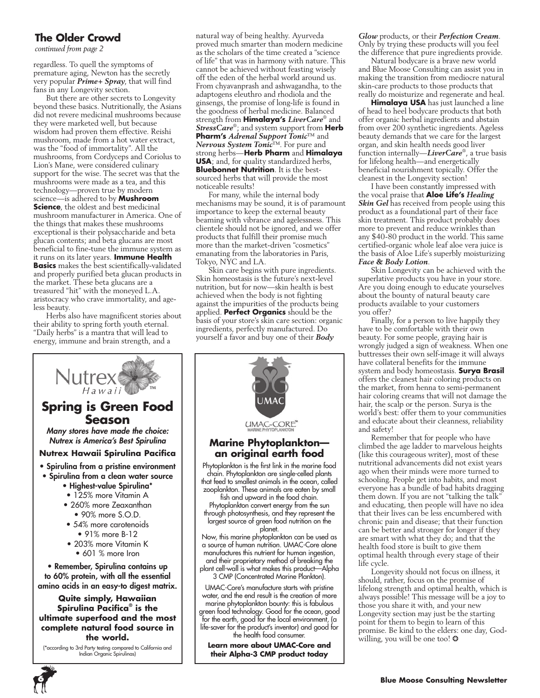# **The Older Crowd**

*continued from page 2*

regardless. To quell the symptoms of premature aging, Newton has the secretly very popular *Prime+ Spray*, that will find fans in any Longevity section.

But there are other secrets to Longevity beyond these basics. Nutritionally, the Asians did not revere medicinal mushrooms because they were marketed well, but because wisdom had proven them effective. Reishi mushroom, made from a hot water extract, was the "food of immortality". All the mushrooms, from Cordyceps and Coriolus to Lion's Mane, were considered culinary support for the wise. The secret was that the mushrooms were made as a tea, and this technology—proven true by modern science—is adhered to by **Mushroom Science**, the oldest and best medicinal mushroom manufacturer in America. One of the things that makes these mushrooms exceptional is their polysaccharide and beta glucan contents; and beta glucans are most beneficial to fine-tune the immune system as it runs on its later years. **Immune Health Basics** makes the best scientifically-validated and properly purified beta glucan products in the market. These beta glucans are a treasured "hit" with the moneyed L.A. aristocracy who crave immortality, and ageless beauty.

Herbs also have magnificent stories about their ability to spring forth youth eternal. "Daily herbs" is a mantra that will lead to energy, immune and brain strength, and a

natural way of being healthy. Ayurveda proved much smarter than modern medicine as the scholars of the time created a "science of life" that was in harmony with nature. This cannot be achieved without feasting wisely off the eden of the herbal world around us. From chyavanprash and ashwagandha, to the adaptogens eleuthro and rhodiola and the ginsengs, the promise of long-life is found in the goodness of herbal medicine. Balanced strength from **Himalaya's** *LiverCare*® and *StressCare*®; and system support from **Herb Pharm's** *Adrenal Support Tonic*™ and *Nervous System Tonic*™. For pure and strong herbs—**Herb Pharm** and **Himalaya USA**; and, for quality standardized herbs, **Bluebonnet Nutrition**. It is the bestsourced herbs that will provide the most noticeable results!

For many, while the internal body mechanisms may be sound, it is of paramount importance to keep the external beauty beaming with vibrance and agelessness. This clientele should not be ignored, and we offer products that fulfill their promise much more than the market-driven "cosmetics" emanating from the laboratories in Paris, Tokyo, NYC and LA.

Skin care begins with pure ingredients. Skin homeostasis is the future's next-level nutrition, but for now—skin health is best achieved when the body is not fighting against the impurities of the products being applied. **Perfect Organics** should be the basis of your store's skin care section: organic ingredients, perfectly manufactured. Do yourself a favor and buy one of their *Body* 



*Glow* products, or their *Perfection Cream*. Only by trying these products will you feel the difference that pure ingredients provide.

Natural bodycare is a brave new world and Blue Moose Consulting can assist you in making the transition from mediocre natural skin-care products to those products that really do moisturize and regenerate and heal.

**Himalaya USA** has just launched a line of head to heel bodycare products that both offer organic herbal ingredients and abstain from over 200 synthetic ingredients. Ageless beauty demands that we care for the largest organ, and skin health needs good liver function internally—*LiverCare*® , a true basis for lifelong health—and energetically beneficial nourishment topically. Offer the cleanest in the Longevity section!

I have been constantly impressed with the vocal praise that **Aloe Life's** *Healing Skin Gel* has received from people using this product as a foundational part of their face skin treatment. This product probably does more to prevent and reduce wrinkles than any \$40-80 product in the world. This same certified-organic whole leaf aloe vera juice is the basis of Aloe Life's superbly moisturizing *Face & Body Lotion*.

Skin Longevity can be achieved with the superlative products you have in your store. Are you doing enough to educate yourselves about the bounty of natural beauty care products available to your customers you offer?

Finally, for a person to live happily they have to be comfortable with their own beauty. For some people, graying hair is wrongly judged a sign of weakness. When one buttresses their own self-image it will always have collateral benefits for the immune system and body homeostasis. **Surya Brasil** offers the cleanest hair coloring products on the market, from henna to semi-permanent hair coloring creams that will not damage the hair, the scalp or the person. Surya is the world's best: offer them to your communities and educate about their cleanness, reliability and safety!

Remember that for people who have climbed the age ladder to marvelous heights (like this courageous writer), most of these nutritional advancements did not exist years ago when their minds were more turned to schooling. People get into habits, and most everyone has a bundle of bad habits dragging them down. If you are not "talking the talk" and educating, then people will have no idea that their lives can be less encumbered with chronic pain and disease; that their function can be better and stronger for longer if they are smart with what they do; and that the health food store is built to give them optimal health through every stage of their life cycle.

Longevity should not focus on illness, it should, rather, focus on the promise of lifelong strength and optimal health, which is always possible! This message will be a joy to those you share it with, and your new Longevity section may just be the starting point for them to begin to learn of this promise. Be kind to the elders: one day, Godwilling, you will be one too!  $\odot$ 

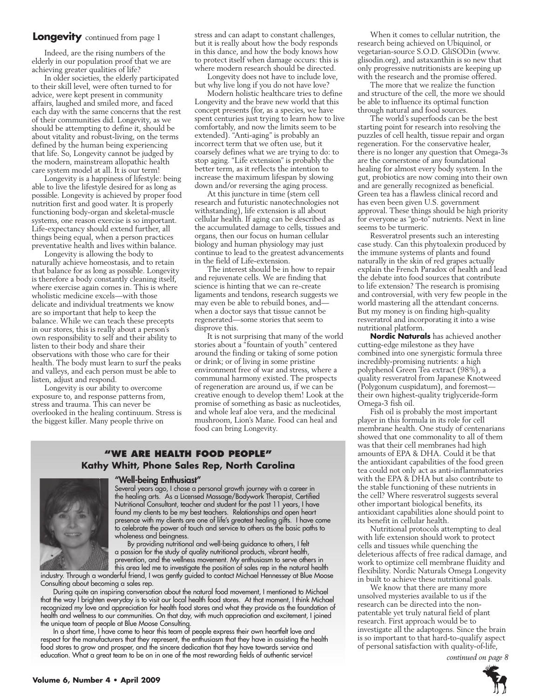#### **Longevity** continued from page 1

Indeed, are the rising numbers of the elderly in our population proof that we are achieving greater qualities of life?

In older societies, the elderly participated to their skill level, were often turned to for advice, were kept present in community affairs, laughed and smiled more, and faced each day with the same concerns that the rest of their communities did. Longevity, as we should be attempting to define it, should be about vitality and robust-living, on the terms defined by the human being experiencing that life. So, Longevity cannot be judged by the modern, mainstream allopathic health care system model at all. It is our term!

Longevity is a happiness of lifestyle: being able to live the lifestyle desired for as long as possible. Longevity is achieved by proper food nutrition first and good water. It is properly functioning body-organ and skeletal-muscle systems, one reason exercise is so important. Life-expectancy should extend further, all things being equal, when a person practices preventative health and lives within balance.

Longevity is allowing the body to naturally achieve homeostasis, and to retain that balance for as long as possible. Longevity is therefore a body constantly cleaning itself, where exercise again comes in. This is where wholistic medicine excels—with those delicate and individual treatments we know are so important that help to keep the balance. While we can teach these precepts in our stores, this is really about a person's own responsibility to self and their ability to listen to their body and share their observations with those who care for their health. The body must learn to surf the peaks and valleys, and each person must be able to listen, adjust and respond.

Longevity is our ability to overcome exposure to, and response patterns from, stress and trauma. This can never be overlooked in the healing continuum. Stress is the biggest killer. Many people thrive on

stress and can adapt to constant challenges, but it is really about how the body responds in this dance, and how the body knows how to protect itself when damage occurs: this is where modern research should be directed.

Longevity does not have to include love, but why live long if you do not have love?

Modern holistic healthcare tries to define Longevity and the brave new world that this concept presents (for, as a species, we have spent centuries just trying to learn how to live comfortably, and now the limits seem to be extended). "Anti-aging" is probably an incorrect term that we often use, but it coarsely defines what we are trying to do: to stop aging. "Life extension" is probably the better term, as it reflects the intention to increase the maximum lifespan by slowing down and/or reversing the aging process.

At this juncture in time (stem cell research and futuristic nanotechnologies not withstanding), life extension is all about cellular health. If aging can be described as the accumulated damage to cells, tissues and organs, then our focus on human cellular biology and human physiology may just continue to lead to the greatest advancements in the field of Life-extension.

The interest should be in how to repair and rejuvenate cells. We are finding that science is hinting that we can re-create ligaments and tendons, research suggests we may even be able to rebuild bones, and when a doctor says that tissue cannot be regenerated—some stories that seem to disprove this.

It is not surprising that many of the world stories about a "fountain of youth" centered around the finding or taking of some potion or drink; or of living in some pristine environment free of war and stress, where a communal harmony existed. The prospects of regeneration are around us, if we can be creative enough to develop them! Look at the promise of something as basic as nucleotides, and whole leaf aloe vera, and the medicinal mushroom, Lion's Mane. Food can heal and food can bring Longevity.

#### **"We Are health food people" Kathy Whitt, Phone Sales Rep, North Carolina**

#### "Well-being Enthusiast"

Several years ago, I chose a personal growth journey with a career in the healing arts. As a Licensed Massage/Bodywork Therapist, Certified Nutritional Consultant, teacher and student for the past 11 years, I have found my clients to be my best teachers. Relationships and open heart presence with my clients are one of life's greatest healing gifts. I have come to celebrate the power of touch and service to others as the basic paths to wholeness and beingness.

By providing nutritional and well-being guidance to others, I felt a passion for the study of quality nutritional products, vibrant health, prevention, and the wellness movement. My enthusiasm to serve others in this area led me to investigate the position of sales rep in the natural health

industry. Through a wonderful friend, I was gently guided to contact Michael Hennessey at Blue Moose Consulting about becoming a sales rep.

During quite an inspiring conversation about the natural food movement, I mentioned to Michael that the way I brighten everyday is to visit our local health food stores. At that moment, I think Michael recognized my love and appreciation for health food stores and what they provide as the foundation of health and wellness to our communities. On that day, with much appreciation and excitement, I joined the unique team of people at Blue Moose Consulting.

In a short time, I have come to hear this team of people express their own heartfelt love and respect for the manufacturers that they represent, the enthusiasm that they have in assisting the health food stores to grow and prosper, and the sincere dedication that they have towards service and education. What a great team to be on in one of the most rewarding fields of authentic service!

When it comes to cellular nutrition, the research being achieved on Ubiquinol, or vegetarian-source S.O.D. GliSODin (www. glisodin.org), and astaxanthin is so new that only progressive nutritionists are keeping up with the research and the promise offered.

The more that we realize the function and structure of the cell, the more we should be able to influence its optimal function through natural and food sources.

The world's superfoods can be the best starting point for research into resolving the puzzles of cell health, tissue repair and organ regeneration. For the conservative healer, there is no longer any question that Omega-3s are the cornerstone of any foundational healing for almost every body system. In the gut, probiotics are now coming into their own and are generally recognized as beneficial. Green tea has a flawless clinical record and has even been given U.S. government approval. These things should be high priority for everyone as "go-to" nutrients. Next in line seems to be turmeric.

Resveratrol presents such an interesting case study. Can this phytoalexin produced by the immune systems of plants and found naturally in the skin of red grapes actually explain the French Paradox of health and lead the debate into food sources that contribute to life extension? The research is promising and controversial, with very few people in the world mastering all the attendant concerns. But my money is on finding high-quality resveratrol and incorporating it into a wise nutritional platform.

**Nordic Naturals** has achieved another cutting-edge milestone as they have combined into one synergistic formula three incredibly-promising nutrients: a high polyphenol Green Tea extract (98%), a quality resveratrol from Japanese Knotweed (Polygonum cuspidatum), and foremost their own highest-quality triglyceride-form Omega-3 fish oil.

Fish oil is probably the most important player in this formula in its role for cell membrane health. One study of centenarians showed that one commonality to all of them was that their cell membranes had high amounts of EPA & DHA. Could it be that the antioxidant capabilities of the food green tea could not only act as anti-inflammatories with the EPA & DHA but also contribute to the stable functioning of these nutrients in the cell? Where resveratrol suggests several other important biological benefits, its antioxidant capabilities alone should point to its benefit in cellular health.

Nutritional protocols attempting to deal with life extension should work to protect cells and tissues while quenching the deleterious affects of free radical damage, and work to optimize cell membrane fluidity and flexibility. Nordic Naturals Omega Longevity in built to achieve these nutritional goals.

We know that there are many more unsolved mysteries available to us if the research can be directed into the nonpatentable yet truly natural field of plant research. First approach would be to investigate all the adaptogens. Since the brain is so important to that hard-to-qualify aspect of personal satisfaction with quality-of-life,

*continued on page 8*